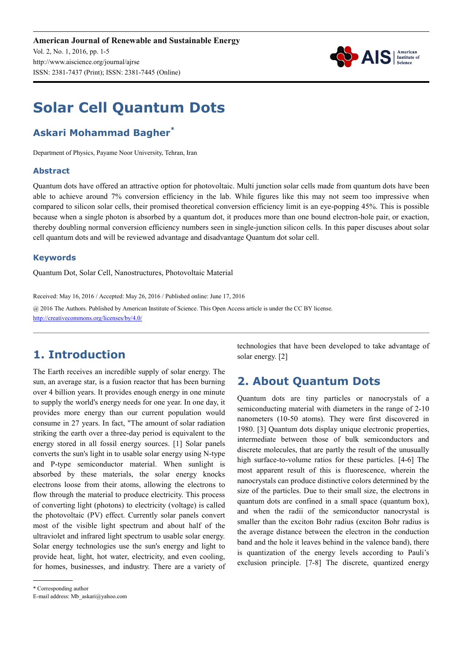

# **Solar Cell Quantum Dots**

# **Askari Mohammad Bagher\***

Department of Physics, Payame Noor University, Tehran, Iran

#### **Abstract**

Quantum dots have offered an attractive option for photovoltaic. Multi junction solar cells made from quantum dots have been able to achieve around 7% conversion efficiency in the lab. While figures like this may not seem too impressive when compared to silicon solar cells, their promised theoretical conversion efficiency limit is an eye-popping 45%. This is possible because when a single photon is absorbed by a quantum dot, it produces more than one bound electron-hole pair, or exaction, thereby doubling normal conversion efficiency numbers seen in single-junction silicon cells. In this paper discuses about solar cell quantum dots and will be reviewed advantage and disadvantage Quantum dot solar cell.

#### **Keywords**

Quantum Dot, Solar Cell, Nanostructures, Photovoltaic Material

Received: May 16, 2016 / Accepted: May 26, 2016 / Published online: June 17, 2016

@ 2016 The Authors. Published by American Institute of Science. This Open Access article is under the CC BY license. http://creativecommons.org/licenses/by/4.0/

# **1. Introduction**

The Earth receives an incredible supply of solar energy. The sun, an average star, is a fusion reactor that has been burning over 4 billion years. It provides enough energy in one minute to supply the world's energy needs for one year. In one day, it provides more energy than our current population would consume in 27 years. In fact, "The amount of solar radiation striking the earth over a three-day period is equivalent to the energy stored in all fossil energy sources. [1] Solar panels converts the sun's light in to usable solar energy using N-type and P-type semiconductor material. When sunlight is absorbed by these materials, the solar energy knocks electrons loose from their atoms, allowing the electrons to flow through the material to produce electricity. This process of converting light (photons) to electricity (voltage) is called the photovoltaic (PV) effect. Currently solar panels convert most of the visible light spectrum and about half of the ultraviolet and infrared light spectrum to usable solar energy. Solar energy technologies use the sun's energy and light to provide heat, light, hot water, electricity, and even cooling, for homes, businesses, and industry. There are a variety of

\* Corresponding author

technologies that have been developed to take advantage of solar energy. [2]

## **2. About Quantum Dots**

Quantum dots are tiny particles or nanocrystals of a semiconducting material with diameters in the range of 2-10 nanometers (10-50 atoms). They were first discovered in 1980. [3] Quantum dots display unique electronic properties, intermediate between those of bulk semiconductors and discrete molecules, that are partly the result of the unusually high surface-to-volume ratios for these particles. [4-6] The most apparent result of this is fluorescence, wherein the nanocrystals can produce distinctive colors determined by the size of the particles. Due to their small size, the electrons in quantum dots are confined in a small space (quantum box), and when the radii of the semiconductor nanocrystal is smaller than the exciton Bohr radius (exciton Bohr radius is the average distance between the electron in the conduction band and the hole it leaves behind in the valence band), there is quantization of the energy levels according to Pauli's exclusion principle. [7-8] The discrete, quantized energy

E-mail address: Mb\_askari@yahoo.com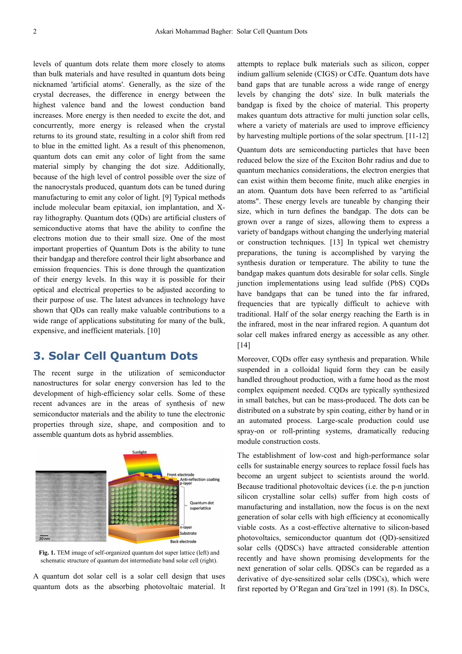levels of quantum dots relate them more closely to atoms than bulk materials and have resulted in quantum dots being nicknamed 'artificial atoms'. Generally, as the size of the crystal decreases, the difference in energy between the highest valence band and the lowest conduction band increases. More energy is then needed to excite the dot, and concurrently, more energy is released when the crystal returns to its ground state, resulting in a color shift from red to blue in the emitted light. As a result of this phenomenon, quantum dots can emit any color of light from the same material simply by changing the dot size. Additionally, because of the high level of control possible over the size of the nanocrystals produced, quantum dots can be tuned during manufacturing to emit any color of light. [9] Typical methods include molecular beam epitaxial, ion implantation, and Xray lithography. Quantum dots (QDs) are artificial clusters of semiconductive atoms that have the ability to confine the electrons motion due to their small size. One of the most important properties of Quantum Dots is the ability to tune their bandgap and therefore control their light absorbance and emission frequencies. This is done through the quantization of their energy levels. In this way it is possible for their optical and electrical properties to be adjusted according to their purpose of use. The latest advances in technology have shown that QDs can really make valuable contributions to a wide range of applications substituting for many of the bulk, expensive, and inefficient materials. [10]

### **3. Solar Cell Quantum Dots**

The recent surge in the utilization of semiconductor nanostructures for solar energy conversion has led to the development of high-efficiency solar cells. Some of these recent advances are in the areas of synthesis of new semiconductor materials and the ability to tune the electronic properties through size, shape, and composition and to assemble quantum dots as hybrid assemblies.



**Fig. 1.** TEM image of self-organized quantum dot super lattice (left) and schematic structure of quantum dot intermediate band solar cell (right).

A quantum dot solar cell is a solar cell design that uses quantum dots as the absorbing photovoltaic material. It attempts to replace bulk materials such as silicon, copper indium gallium selenide (CIGS) or CdTe. Quantum dots have band gaps that are tunable across a wide range of energy levels by changing the dots' size. In bulk materials the bandgap is fixed by the choice of material. This property makes quantum dots attractive for multi junction solar cells, where a variety of materials are used to improve efficiency by harvesting multiple portions of the solar spectrum. [11-12]

Quantum dots are semiconducting particles that have been reduced below the size of the Exciton Bohr radius and due to quantum mechanics considerations, the electron energies that can exist within them become finite, much alike energies in an atom. Quantum dots have been referred to as "artificial atoms". These energy levels are tuneable by changing their size, which in turn defines the bandgap. The dots can be grown over a range of sizes, allowing them to express a variety of bandgaps without changing the underlying material or construction techniques. [13] In typical wet chemistry preparations, the tuning is accomplished by varying the synthesis duration or temperature. The ability to tune the bandgap makes quantum dots desirable for solar cells. Single junction implementations using lead sulfide (PbS) CQDs have bandgaps that can be tuned into the far infrared, frequencies that are typically difficult to achieve with traditional. Half of the solar energy reaching the Earth is in the infrared, most in the near infrared region. A quantum dot solar cell makes infrared energy as accessible as any other. [14]

Moreover, CQDs offer easy synthesis and preparation. While suspended in a colloidal liquid form they can be easily handled throughout production, with a fume hood as the most complex equipment needed. CQDs are typically synthesized in small batches, but can be mass-produced. The dots can be distributed on a substrate by spin coating, either by hand or in an automated process. Large-scale production could use spray-on or roll-printing systems, dramatically reducing module construction costs.

The establishment of low-cost and high-performance solar cells for sustainable energy sources to replace fossil fuels has become an urgent subject to scientists around the world. Because traditional photovoltaic devices (i.e. the p-n junction silicon crystalline solar cells) suffer from high costs of manufacturing and installation, now the focus is on the next generation of solar cells with high efficiency at economically viable costs. As a cost-effective alternative to silicon-based photovoltaics, semiconductor quantum dot (QD)-sensitized solar cells (QDSCs) have attracted considerable attention recently and have shown promising developments for the next generation of solar cells. QDSCs can be regarded as a derivative of dye-sensitized solar cells (DSCs), which were first reported by O'Regan and Gra¨tzel in 1991 (8). In DSCs,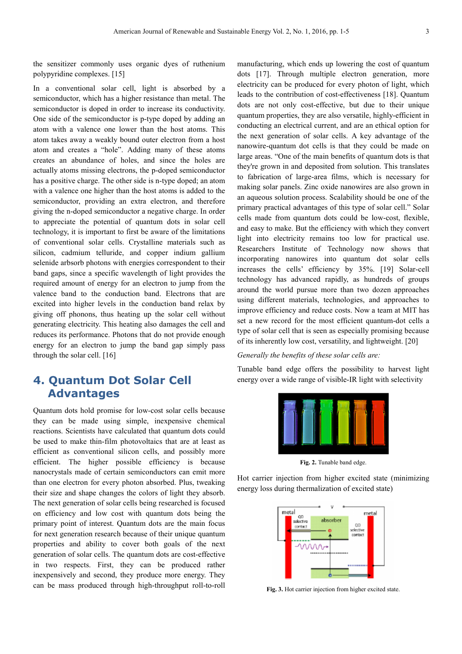the sensitizer commonly uses organic dyes of ruthenium polypyridine complexes. [15]

In a conventional solar cell, light is absorbed by a semiconductor, which has a higher resistance than metal. The semiconductor is doped in order to increase its conductivity. One side of the semiconductor is p-type doped by adding an atom with a valence one lower than the host atoms. This atom takes away a weakly bound outer electron from a host atom and creates a "hole". Adding many of these atoms creates an abundance of holes, and since the holes are actually atoms missing electrons, the p-doped semiconductor has a positive charge. The other side is n-type doped; an atom with a valence one higher than the host atoms is added to the semiconductor, providing an extra electron, and therefore giving the n-doped semiconductor a negative charge. In order to appreciate the potential of quantum dots in solar cell technology, it is important to first be aware of the limitations of conventional solar cells. Crystalline materials such as silicon, cadmium telluride, and copper indium gallium selenide arbsorb photons with energies correspondent to their band gaps, since a specific wavelength of light provides the required amount of energy for an electron to jump from the valence band to the conduction band. Electrons that are excited into higher levels in the conduction band relax by giving off phonons, thus heating up the solar cell without generating electricity. This heating also damages the cell and reduces its performance. Photons that do not provide enough energy for an electron to jump the band gap simply pass through the solar cell. [16]

## **4. Quantum Dot Solar Cell Advantages**

Quantum dots hold promise for low-cost solar cells because they can be made using simple, inexpensive chemical reactions. Scientists have calculated that quantum dots could be used to make thin-film photovoltaics that are at least as efficient as conventional silicon cells, and possibly more efficient. The higher possible efficiency is because nanocrystals made of certain semiconductors can emit more than one electron for every photon absorbed. Plus, tweaking their size and shape changes the colors of light they absorb. The next generation of solar cells being researched is focused on efficiency and low cost with quantum dots being the primary point of interest. Quantum dots are the main focus for next generation research because of their unique quantum properties and ability to cover both goals of the next generation of solar cells. The quantum dots are cost-effective in two respects. First, they can be produced rather inexpensively and second, they produce more energy. They can be mass produced through high-throughput roll-to-roll manufacturing, which ends up lowering the cost of quantum dots [17]. Through multiple electron generation, more electricity can be produced for every photon of light, which leads to the contribution of cost-effectiveness [18]. Quantum dots are not only cost-effective, but due to their unique quantum properties, they are also versatile, highly-efficient in conducting an electrical current, and are an ethical option for the next generation of solar cells. A key advantage of the nanowire-quantum dot cells is that they could be made on large areas. "One of the main benefits of quantum dots is that they're grown in and deposited from solution. This translates to fabrication of large-area films, which is necessary for making solar panels. Zinc oxide nanowires are also grown in an aqueous solution process. Scalability should be one of the primary practical advantages of this type of solar cell." Solar cells made from quantum dots could be low-cost, flexible, and easy to make. But the efficiency with which they convert light into electricity remains too low for practical use. Researchers Institute of Technology now shows that incorporating nanowires into quantum dot solar cells increases the cells' efficiency by 35%. [19] Solar-cell technology has advanced rapidly, as hundreds of groups around the world pursue more than two dozen approaches using different materials, technologies, and approaches to improve efficiency and reduce costs. Now a team at MIT has set a new record for the most efficient quantum-dot cells a type of solar cell that is seen as especially promising because of its inherently low cost, versatility, and lightweight. [20]

#### *Generally the benefits of these solar cells are:*

Tunable band edge offers the possibility to harvest light energy over a wide range of visible-IR light with selectivity



**Fig. 2.** Tunable band edge.

Hot carrier injection from higher excited state (minimizing energy loss during thermalization of excited state)



**Fig. 3.** Hot carrier injection from higher excited state.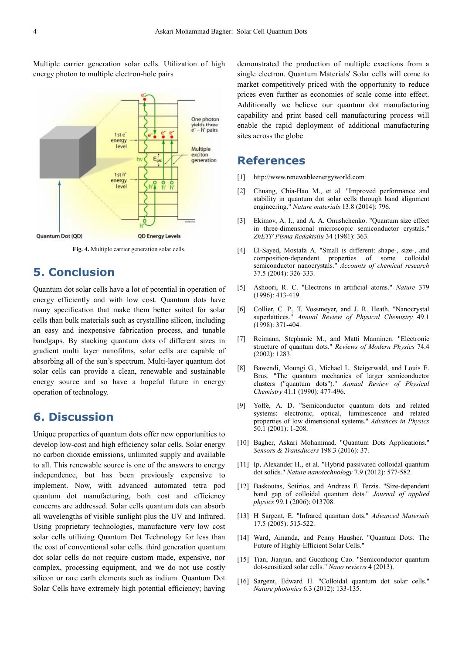Multiple carrier generation solar cells. Utilization of high energy photon to multiple electron-hole pairs



**Fig. 4.** Multiple carrier generation solar cells.

# **5. Conclusion**

Quantum dot solar cells have a lot of potential in operation of energy efficiently and with low cost. Quantum dots have many specification that make them better suited for solar cells than bulk materials such as crystalline silicon, including an easy and inexpensive fabrication process, and tunable bandgaps. By stacking quantum dots of different sizes in gradient multi layer nanofilms, solar cells are capable of absorbing all of the sun's spectrum. Multi-layer quantum dot solar cells can provide a clean, renewable and sustainable energy source and so have a hopeful future in energy operation of technology.

## **6. Discussion**

Unique properties of quantum dots offer new opportunities to develop low-cost and high efficiency solar cells. Solar energy no carbon dioxide emissions, unlimited supply and available to all. This renewable source is one of the answers to energy independence, but has been previously expensive to implement. Now, with advanced automated tetra pod quantum dot manufacturing, both cost and efficiency concerns are addressed. Solar cells quantum dots can absorb all wavelengths of visible sunlight plus the UV and Infrared. Using proprietary technologies, manufacture very low cost solar cells utilizing Quantum Dot Technology for less than the cost of conventional solar cells. third generation quantum dot solar cells do not require custom made, expensive, nor complex, processing equipment, and we do not use costly silicon or rare earth elements such as indium. Quantum Dot Solar Cells have extremely high potential efficiency; having demonstrated the production of multiple exactions from a single electron. Quantum Materials' Solar cells will come to market competitively priced with the opportunity to reduce prices even further as economies of scale come into effect. Additionally we believe our quantum dot manufacturing capability and print based cell manufacturing process will enable the rapid deployment of additional manufacturing sites across the globe.

#### **References**

- [1] http://www.renewableenergyworld.com
- [2] Chuang, Chia-Hao M., et al. "Improved performance and stability in quantum dot solar cells through band alignment engineering." *Nature materials* 13.8 (2014): 796.
- [3] Ekimov, A. I., and A. A. Onushchenko. "Quantum size effect in three-dimensional microscopic semiconductor crystals." *ZhETF Pisma Redaktsiiu* 34 (1981): 363.
- [4] El-Sayed, Mostafa A. "Small is different: shape-, size-, and composition-dependent properties of some colloidal semiconductor nanocrystals." *Accounts of chemical research* 37.5 (2004): 326-333.
- [5] Ashoori, R. C. "Electrons in artificial atoms." *Nature* 379 (1996): 413-419.
- [6] Collier, C. P., T. Vossmeyer, and J. R. Heath. "Nanocrystal superlattices." *Annual Review of Physical Chemistry* 49.1 (1998): 371-404.
- [7] Reimann, Stephanie M., and Matti Manninen. "Electronic structure of quantum dots." *Reviews of Modern Physics* 74.4 (2002): 1283.
- [8] Bawendi, Moungi G., Michael L. Steigerwald, and Louis E. Brus. "The quantum mechanics of larger semiconductor clusters ("quantum dots")." *Annual Review of Physical Chemistry* 41.1 (1990): 477-496.
- [9] Yoffe, A. D. "Semiconductor quantum dots and related systems: electronic, optical, luminescence and related properties of low dimensional systems." *Advances in Physics* 50.1 (2001): 1-208.
- [10] Bagher, Askari Mohammad. "Ouantum Dots Applications." *Sensors & Transducers* 198.3 (2016): 37.
- [11] Ip, Alexander H., et al. "Hybrid passivated colloidal quantum dot solids." *Nature nanotechnology* 7.9 (2012): 577-582.
- [12] Baskoutas, Sotirios, and Andreas F. Terzis. "Size-dependent band gap of colloidal quantum dots." *Journal of applied physics* 99.1 (2006): 013708.
- [13] H Sargent, E. "Infrared quantum dots." *Advanced Materials* 17.5 (2005): 515-522.
- [14] Ward, Amanda, and Penny Hausher. "Quantum Dots: The Future of Highly-Efficient Solar Cells."
- [15] Tian, Jianjun, and Guozhong Cao. "Semiconductor quantum dot-sensitized solar cells." *Nano reviews* 4 (2013).
- [16] Sargent, Edward H. "Colloidal quantum dot solar cells." *Nature photonics* 6.3 (2012): 133-135.